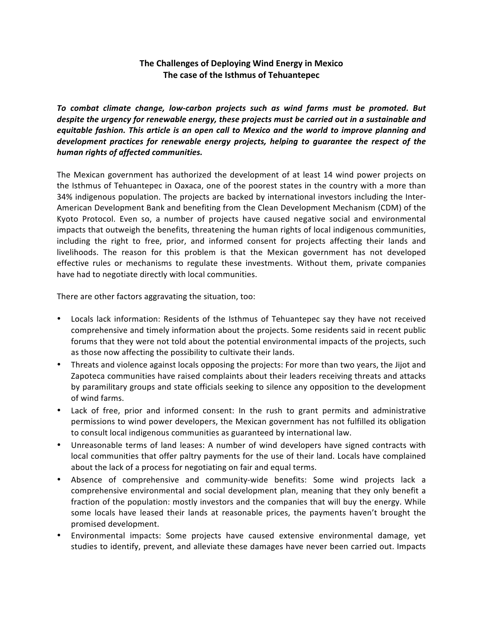## The Challenges of Deploying Wind Energy in Mexico The case of the Isthmus of Tehuantepec

To combat climate change, low-carbon projects such as wind farms must be promoted. But despite the urgency for renewable energy, these projects must be carried out in a sustainable and equitable fashion. This article is an open call to Mexico and the world to improve planning and development practices for renewable energy projects, helping to guarantee the respect of the human rights of affected communities.

The Mexican government has authorized the development of at least 14 wind power projects on the Isthmus of Tehuantepec in Oaxaca, one of the poorest states in the country with a more than 34% indigenous population. The projects are backed by international investors including the Inter-American Development Bank and benefiting from the Clean Development Mechanism (CDM) of the Kyoto Protocol. Even so, a number of projects have caused negative social and environmental impacts that outweigh the benefits, threatening the human rights of local indigenous communities, including the right to free, prior, and informed consent for projects affecting their lands and livelihoods. The reason for this problem is that the Mexican government has not developed effective rules or mechanisms to regulate these investments. Without them, private companies have had to negotiate directly with local communities.

There are other factors aggravating the situation, too:

- Locals lack information: Residents of the Isthmus of Tehuantepec say they have not received comprehensive and timely information about the projects. Some residents said in recent public forums that they were not told about the potential environmental impacts of the projects, such as those now affecting the possibility to cultivate their lands.
- Threats and violence against locals opposing the projects: For more than two years, the Jijot and Zapoteca communities have raised complaints about their leaders receiving threats and attacks by paramilitary groups and state officials seeking to silence any opposition to the development of wind farms.
- Lack of free, prior and informed consent: In the rush to grant permits and administrative permissions to wind power developers, the Mexican government has not fulfilled its obligation to consult local indigenous communities as guaranteed by international law.
- Unreasonable terms of land leases: A number of wind developers have signed contracts with local communities that offer paltry payments for the use of their land. Locals have complained about the lack of a process for negotiating on fair and equal terms.
- Absence of comprehensive and community-wide benefits: Some wind projects lack a comprehensive environmental and social development plan, meaning that they only benefit a fraction of the population: mostly investors and the companies that will buy the energy. While some locals have leased their lands at reasonable prices, the payments haven't brought the promised development.
- Environmental impacts: Some projects have caused extensive environmental damage, yet studies to identify, prevent, and alleviate these damages have never been carried out. Impacts